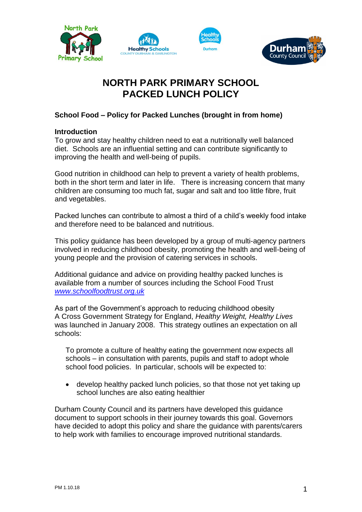







# **NORTH PARK PRIMARY SCHOOL PACKED LUNCH POLICY**

# **School Food – Policy for Packed Lunches (brought in from home)**

# **Introduction**

To grow and stay healthy children need to eat a nutritionally well balanced diet. Schools are an influential setting and can contribute significantly to improving the health and well-being of pupils.

Good nutrition in childhood can help to prevent a variety of health problems, both in the short term and later in life. There is increasing concern that many children are consuming too much fat, sugar and salt and too little fibre, fruit and vegetables.

Packed lunches can contribute to almost a third of a child's weekly food intake and therefore need to be balanced and nutritious.

This policy guidance has been developed by a group of multi-agency partners involved in reducing childhood obesity, promoting the health and well-being of young people and the provision of catering services in schools.

Additional guidance and advice on providing healthy packed lunches is available from a number of sources including the School Food Trust *[www.schoolfoodtrust.org.uk](http://www.schoolfoodtrust.org.uk/)*

As part of the Government's approach to reducing childhood obesity A Cross Government Strategy for England, *Healthy Weight, Healthy Lives* was launched in January 2008. This strategy outlines an expectation on all schools:

To promote a culture of healthy eating the government now expects all schools – in consultation with parents, pupils and staff to adopt whole school food policies. In particular, schools will be expected to:

 develop healthy packed lunch policies, so that those not yet taking up school lunches are also eating healthier

Durham County Council and its partners have developed this guidance document to support schools in their journey towards this goal. Governors have decided to adopt this policy and share the guidance with parents/carers to help work with families to encourage improved nutritional standards.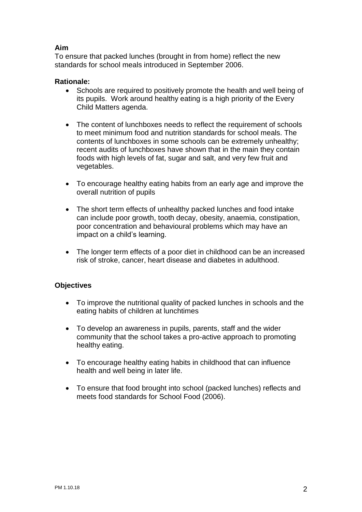# **Aim**

To ensure that packed lunches (brought in from home) reflect the new standards for school meals introduced in September 2006.

## **Rationale:**

- Schools are required to positively promote the health and well being of its pupils. Work around healthy eating is a high priority of the Every Child Matters agenda.
- The content of lunchboxes needs to reflect the requirement of schools to meet minimum food and nutrition standards for school meals. The contents of lunchboxes in some schools can be extremely unhealthy; recent audits of lunchboxes have shown that in the main they contain foods with high levels of fat, sugar and salt, and very few fruit and vegetables.
- To encourage healthy eating habits from an early age and improve the overall nutrition of pupils
- The short term effects of unhealthy packed lunches and food intake can include poor growth, tooth decay, obesity, anaemia, constipation, poor concentration and behavioural problems which may have an impact on a child's learning.
- The longer term effects of a poor diet in childhood can be an increased risk of stroke, cancer, heart disease and diabetes in adulthood.

# **Objectives**

- To improve the nutritional quality of packed lunches in schools and the eating habits of children at lunchtimes
- To develop an awareness in pupils, parents, staff and the wider community that the school takes a pro-active approach to promoting healthy eating.
- To encourage healthy eating habits in childhood that can influence health and well being in later life.
- To ensure that food brought into school (packed lunches) reflects and meets food standards for School Food (2006).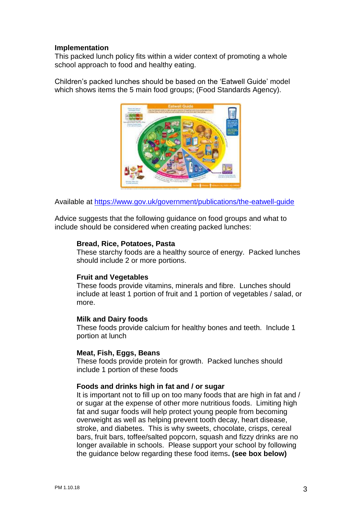#### **Implementation**

This packed lunch policy fits within a wider context of promoting a whole school approach to food and healthy eating.

Children's packed lunches should be based on the 'Eatwell Guide' model which shows items the 5 main food groups; (Food Standards Agency).



Available at<https://www.gov.uk/government/publications/the-eatwell-guide>

Advice suggests that the following guidance on food groups and what to include should be considered when creating packed lunches:

## **Bread, Rice, Potatoes, Pasta**

These starchy foods are a healthy source of energy. Packed lunches should include 2 or more portions.

#### **Fruit and Vegetables**

These foods provide vitamins, minerals and fibre. Lunches should include at least 1 portion of fruit and 1 portion of vegetables / salad, or more.

#### **Milk and Dairy foods**

These foods provide calcium for healthy bones and teeth. Include 1 portion at lunch

#### **Meat, Fish, Eggs, Beans**

These foods provide protein for growth. Packed lunches should include 1 portion of these foods

#### **Foods and drinks high in fat and / or sugar**

It is important not to fill up on too many foods that are high in fat and / or sugar at the expense of other more nutritious foods. Limiting high fat and sugar foods will help protect young people from becoming overweight as well as helping prevent tooth decay, heart disease, stroke, and diabetes. This is why sweets, chocolate, crisps, cereal bars, fruit bars, toffee/salted popcorn, squash and fizzy drinks are no longer available in schools. Please support your school by following the guidance below regarding these food items**. (see box below)**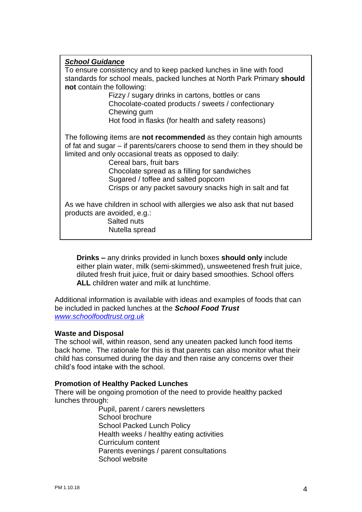# *School Guidance* To ensure consistency and to keep packed lunches in line with food standards for school meals, packed lunches at North Park Primary **should not** contain the following: Fizzy / sugary drinks in cartons, bottles or cans Chocolate-coated products / sweets / confectionary Chewing gum Hot food in flasks (for health and safety reasons) The following items are **not recommended** as they contain high amounts of fat and sugar – if parents/carers choose to send them in they should be limited and only occasional treats as opposed to daily: Cereal bars, fruit bars Chocolate spread as a filling for sandwiches Sugared / toffee and salted popcorn Crisps or any packet savoury snacks high in salt and fat As we have children in school with allergies we also ask that nut based products are avoided, e.g.: Salted nuts Nutella spread

**Drinks –** any drinks provided in lunch boxes **should only** include either plain water, milk (semi-skimmed), unsweetened fresh fruit juice, diluted fresh fruit juice, fruit or dairy based smoothies. School offers **ALL** children water and milk at lunchtime.

Additional information is available with ideas and examples of foods that can be included in packed lunches at the *School Food Trust [www.schoolfoodtrust.org.uk](http://www.schoolfoodtrust.org.uk/)*

## **Waste and Disposal**

The school will, within reason, send any uneaten packed lunch food items back home. The rationale for this is that parents can also monitor what their child has consumed during the day and then raise any concerns over their child's food intake with the school.

#### **Promotion of Healthy Packed Lunches**

There will be ongoing promotion of the need to provide healthy packed lunches through:

Pupil, parent / carers newsletters School brochure School Packed Lunch Policy Health weeks / healthy eating activities Curriculum content Parents evenings / parent consultations School website